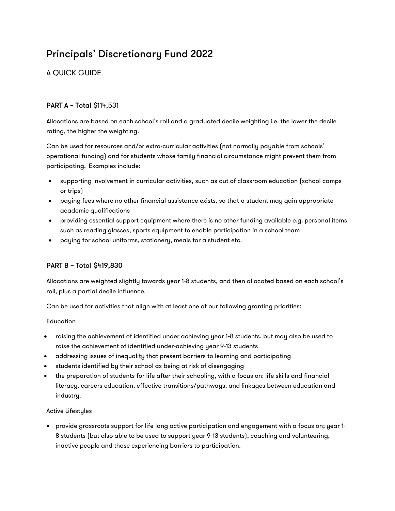# Principals' Discretionary Fund 2022

## A QUICK GUIDE

## PART A – Total \$114,531

Allocations are based on each school's roll and a graduated decile weighting i.e. the lower the decile rating, the higher the weighting.

Can be used for resources and/or extra-curricular activities (not normally payable from schools' operational funding) and for students whose family financial circumstance might prevent them from participating. Examples include:

- supporting involvement in curricular activities, such as out of classroom education (school camps or trips)
- paying fees where no other financial assistance exists, so that a student may gain appropriate academic qualifications
- providing essential support equipment where there is no other funding available e.g. personal items such as reading glasses, sports equipment to enable participation in a school team
- paying for school uniforms, stationery, meals for a student etc.

## PART B – Total \$419,830

Allocations are weighted slightly towards year 1-8 students, and then allocated based on each school's roll, plus a partial decile influence.

Can be used for activities that align with at least one of our following granting priorities:

#### Education

- raising the achievement of identified under achieving year 1-8 students, but may also be used to raise the achievement of identified under-achieving year 9-13 students
- addressing issues of inequality that present barriers to learning and participating
- students identified by their school as being at risk of disengaging
- the preparation of students for life after their schooling, with a focus on: life skills and financial literacy, careers education, effective transitions/pathways, and linkages between education and industry.

#### Active Lifestyles

• provide grassroots support for life long active participation and engagement with a focus on; year 1- 8 students (but also able to be used to support year 9-13 students), coaching and volunteering, inactive people and those experiencing barriers to participation.